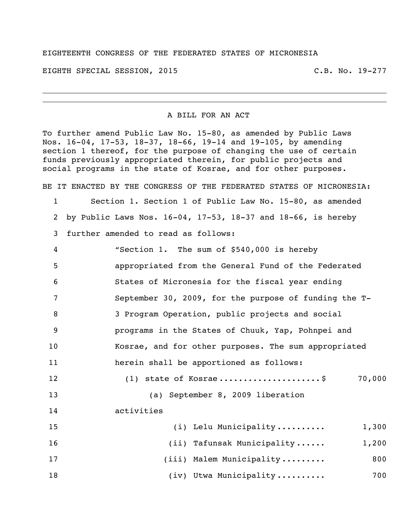## EIGHTEENTH CONGRESS OF THE FEDERATED STATES OF MICRONESIA

EIGHTH SPECIAL SESSION, 2015 C.B. No. 19-277

## A BILL FOR AN ACT

To further amend Public Law No. 15-80, as amended by Public Laws Nos. 16-04, 17-53, 18-37, 18-66, 19-14 and 19-105, by amending section 1 thereof, for the purpose of changing the use of certain funds previously appropriated therein, for public projects and social programs in the state of Kosrae, and for other purposes.

BE IT ENACTED BY THE CONGRESS OF THE FEDERATED STATES OF MICRONESIA:

1 Section 1. Section 1 of Public Law No. 15-80, as amended 2 by Public Laws Nos. 16-04, 17-53, 18-37 and 18-66, is hereby 3 further amended to read as follows:

| 4  | "Section 1. The sum of \$540,000 is hereby            |
|----|-------------------------------------------------------|
| 5  | appropriated from the General Fund of the Federated   |
| 6  | States of Micronesia for the fiscal year ending       |
| 7  | September 30, 2009, for the purpose of funding the T- |
| 8  | 3 Program Operation, public projects and social       |
| -9 | programs in the States of Chuuk, Yap, Pohnpei and     |
| 10 | Kosrae, and for other purposes. The sum appropriated  |
| 11 | herein shall be apportioned as follows:               |
| 12 | $(1)$ state of Kosrae\$<br>70,000                     |

 (a) September 8, 2009 liberation activities 15 (i) Lelu Municipality .......... 1,300 (ii) Tafunsak Municipality ...... 1,200 (iii) Malem Municipality ......... 800

18 (iv) Utwa Municipality ......... 700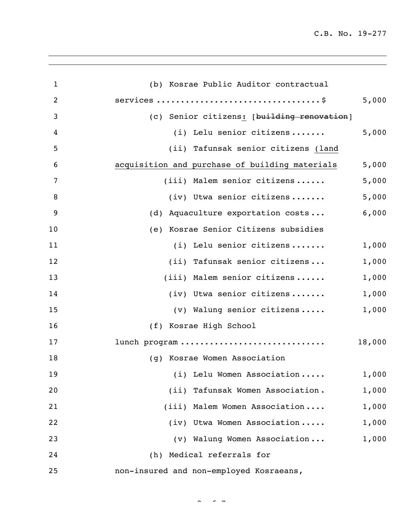| $\mathbf{1}$ | (b) Kosrae Public Auditor contractual          |        |
|--------------|------------------------------------------------|--------|
| 2            |                                                | 5,000  |
| 3            | (c) Senior citizens: [building renovation]     |        |
| 4            | (i) Lelu senior citizens                       | 5,000  |
| 5            | (ii) Tafunsak senior citizens (land            |        |
| 6            | acquisition and purchase of building materials | 5,000  |
| 7            | (iii) Malem senior citizens                    | 5,000  |
| 8            | $(iv)$ Utwa senior citizens                    | 5,000  |
| 9            | (d) Aquaculture exportation costs              | 6,000  |
| 10           | (e) Kosrae Senior Citizens subsidies           |        |
| 11           | (i) Lelu senior citizens                       | 1,000  |
| 12           | (ii) Tafunsak senior citizens                  | 1,000  |
| 13           | (iii) Malem senior citizens                    | 1,000  |
| 14           | (iv) Utwa senior citizens                      | 1,000  |
| 15           | (v) Walung senior citizens                     | 1,000  |
| 16           | (f) Kosrae High School                         |        |
| 17           | lunch program                                  | 18,000 |
| 18           | (g) Kosrae Women Association                   |        |
| 19           | (i) Lelu Women Association                     | 1,000  |
| 20           | (ii) Tafunsak Women Association.               | 1,000  |
| 21           | (iii) Malem Women Association                  | 1,000  |
| 22           | (iv) Utwa Women Association                    | 1,000  |
| 23           | (v) Walung Women Association                   | 1,000  |
| 24           | (h) Medical referrals for                      |        |
| 25           | non-insured and non-employed Kosraeans,        |        |

 $\sim$   $\sim$   $\sim$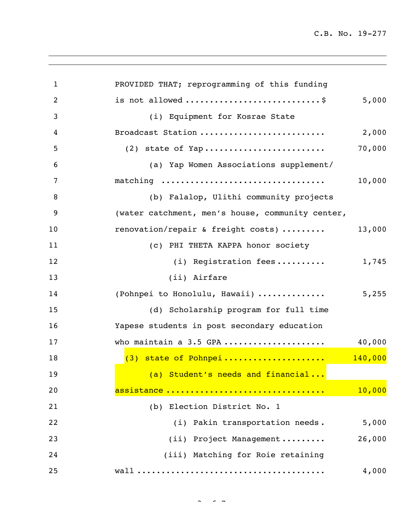| $\mathbf 1$    | PROVIDED THAT; reprogramming of this funding     |        |
|----------------|--------------------------------------------------|--------|
| $\overline{c}$ |                                                  | 5,000  |
| 3              | (i) Equipment for Kosrae State                   |        |
| 4              | Broadcast Station                                | 2,000  |
| 5              |                                                  | 70,000 |
| 6              | (a) Yap Women Associations supplement/           |        |
| 7              | matching                                         | 10,000 |
| 8              | (b) Falalop, Ulithi community projects           |        |
| 9              | (water catchment, men's house, community center, |        |
| 10             | renovation/repair & freight costs)               | 13,000 |
| 11             | (c) PHI THETA KAPPA honor society                |        |
| 12             | (i) Registration fees                            | 1,745  |
| 13             | (ii) Airfare                                     |        |
| 14             | (Pohnpei to Honolulu, Hawaii)  5,255             |        |
| 15             | (d) Scholarship program for full time            |        |
| 16             | Yapese students in post secondary education      |        |
| 17             | who maintain a 3.5 GPA                           | 40,000 |
| 18             | $(3)$ state of Pohnpei 140,000                   |        |
| 19             | (a) Student's needs and financial                |        |
| 20             | assistance                                       | 10,000 |
| 21             | (b) Election District No. 1                      |        |
| 22             | (i) Pakin transportation needs.                  | 5,000  |
| 23             | (ii) Project Management                          | 26,000 |
| 24             | (iii) Matching for Roie retaining                |        |
| 25             |                                                  | 4,000  |

 $\sim$   $\sim$   $\sim$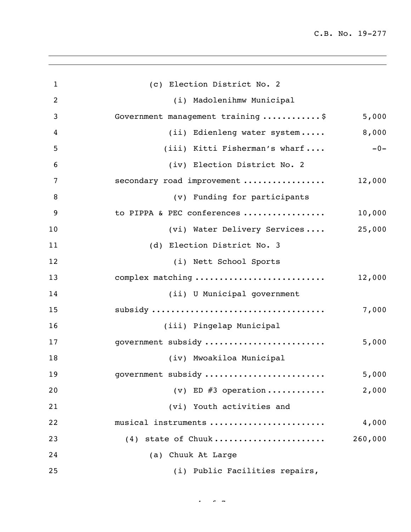| $\mathbf{1}$ | (c) Election District No. 2        |         |
|--------------|------------------------------------|---------|
| 2            | (i) Madolenihmw Municipal          |         |
| 3            | Government management training  \$ | 5,000   |
| 4            | (ii) Edienleng water system        | 8,000   |
| 5            | (iii) Kitti Fisherman's wharf      | $-0-$   |
| 6            | (iv) Election District No. 2       |         |
| 7            | secondary road improvement         | 12,000  |
| 8            | (v) Funding for participants       |         |
| 9            | to PIPPA & PEC conferences         | 10,000  |
| 10           | (vi) Water Delivery Services       | 25,000  |
| 11           | (d) Election District No. 3        |         |
| 12           | (i) Nett School Sports             |         |
| 13           | complex matching                   | 12,000  |
| 14           | (ii) U Municipal government        |         |
| 15           |                                    | 7,000   |
| 16           | (iii) Pingelap Municipal           |         |
| 17           | government subsidy                 | 5,000   |
| 18           | (iv) Mwoakiloa Municipal           |         |
| 19           | government subsidy                 | 5,000   |
| 20           | (v) ED $#3$ operation              | 2,000   |
| 21           | (vi) Youth activities and          |         |
| 22           | musical instruments                | 4,000   |
| 23           | (4) state of Chuuk                 | 260,000 |
| 24           | (a) Chuuk At Large                 |         |
| 25           | (i) Public Facilities repairs,     |         |

 $4 - 7 - 7$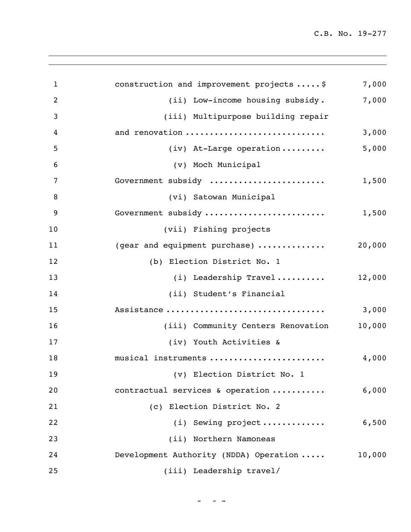| $\mathbf{1}$   | construction and improvement projects  \$ | 7,000  |
|----------------|-------------------------------------------|--------|
| $\overline{2}$ | (ii) Low-income housing subsidy.          | 7,000  |
| 3              | (iii) Multipurpose building repair        |        |
| 4              | and renovation                            | 3,000  |
| 5              | $(iv)$ At-Large operation                 | 5,000  |
| 6              | (v) Moch Municipal                        |        |
| 7              | Government subsidy                        | 1,500  |
| 8              | (vi) Satowan Municipal                    |        |
| 9              | Government subsidy                        | 1,500  |
| 10             | (vii) Fishing projects                    |        |
| 11             | (gear and equipment purchase)             | 20,000 |
| 12             | (b) Election District No. 1               |        |
| 13             | (i) Leadership Travel                     | 12,000 |
| 14             | (ii) Student's Financial                  |        |
| 15             | Assistance                                | 3,000  |
| 16             | (iii) Community Centers Renovation        | 10,000 |
| 17             | (iv) Youth Activities &                   |        |
| 18             | musical instruments                       | 4,000  |
| 19             | (v) Election District No. 1               |        |
| 20             | contractual services & operation          | 6,000  |
| 21             | (c) Election District No. 2               |        |
| 22             | (i) Sewing project                        | 6,500  |
| 23             | (ii) Northern Namoneas                    |        |
| 24             | Development Authority (NDDA) Operation    | 10,000 |
| 25             | (iii) Leadership travel/                  |        |

 $\sim$   $\sim$   $\sim$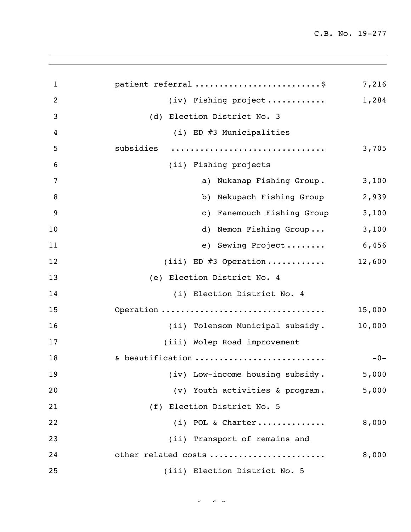| $\mathbf{1}$   | patient referral \$              | 7,216  |
|----------------|----------------------------------|--------|
| $\overline{2}$ | (iv) Fishing project             | 1,284  |
| 3              | (d) Election District No. 3      |        |
| 4              | (i) ED #3 Municipalities         |        |
| 5              | subsidies                        | 3,705  |
| 6              | (ii) Fishing projects            |        |
| 7              | a) Nukanap Fishing Group.        | 3,100  |
| 8              | b) Nekupach Fishing Group        | 2,939  |
| 9              | c) Fanemouch Fishing Group       | 3,100  |
| 10             | d) Nemon Fishing Group           | 3,100  |
| 11             | e) Sewing Project                | 6,456  |
| 12             | (iii) ED #3 Operation            | 12,600 |
| 13             | (e) Election District No. 4      |        |
| 14             | (i) Election District No. 4      |        |
| 15             | Operation                        | 15,000 |
| 16             | (ii) Tolensom Municipal subsidy. | 10,000 |
| 17             | (iii) Wolep Road improvement     |        |
| 18             | & beautification                 | $-0-$  |
| 19             | (iv) Low-income housing subsidy. | 5,000  |
| 20             | (v) Youth activities & program.  | 5,000  |
| 21             | (f) Election District No. 5      |        |
| 22             | $(i)$ POL & Charter              | 8,000  |
| 23             | (ii) Transport of remains and    |        |
| 24             | other related costs              | 8,000  |
| 25             | (iii) Election District No. 5    |        |

 $\sigma = \sigma$